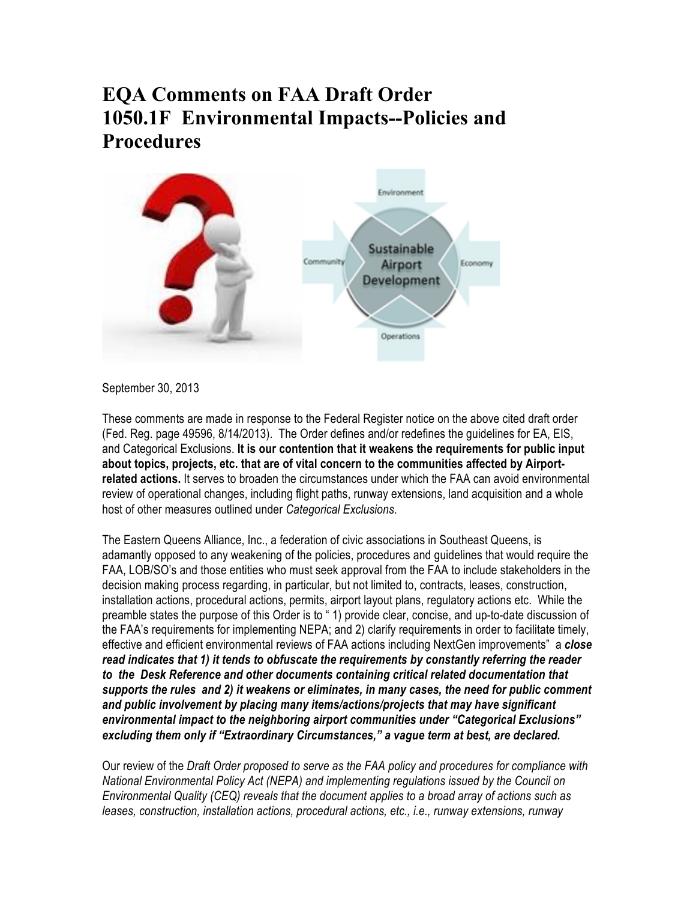## **EQA Comments on FAA Draft Order 1050.1F Environmental Impacts--Policies and Procedures**



September 30, 2013

These comments are made in response to the Federal Register notice on the above cited draft order (Fed. Reg. page 49596, 8/14/2013). The Order defines and/or redefines the guidelines for EA, EIS, and Categorical Exclusions. **It is our contention that it weakens the requirements for public input about topics, projects, etc. that are of vital concern to the communities affected by Airportrelated actions.** It serves to broaden the circumstances under which the FAA can avoid environmental review of operational changes, including flight paths, runway extensions, land acquisition and a whole host of other measures outlined under *Categorical Exclusions*.

The Eastern Queens Alliance, Inc., a federation of civic associations in Southeast Queens, is adamantly opposed to any weakening of the policies, procedures and guidelines that would require the FAA, LOB/SO's and those entities who must seek approval from the FAA to include stakeholders in the decision making process regarding, in particular, but not limited to, contracts, leases, construction, installation actions, procedural actions, permits, airport layout plans, regulatory actions etc. While the preamble states the purpose of this Order is to " 1) provide clear, concise, and up-to-date discussion of the FAA's requirements for implementing NEPA; and 2) clarify requirements in order to facilitate timely, effective and efficient environmental reviews of FAA actions including NextGen improvements" a *close read indicates that 1) it tends to obfuscate the requirements by constantly referring the reader to the Desk Reference and other documents containing critical related documentation that supports the rules and 2) it weakens or eliminates, in many cases, the need for public comment and public involvement by placing many items/actions/projects that may have significant environmental impact to the neighboring airport communities under "Categorical Exclusions" excluding them only if "Extraordinary Circumstances," a vague term at best, are declared.*

Our review of the *Draft Order proposed to serve as the FAA policy and procedures for compliance with National Environmental Policy Act (NEPA) and implementing regulations issued by the Council on Environmental Quality (CEQ) reveals that the document applies to a broad array of actions such as leases, construction, installation actions, procedural actions, etc., i.e., runway extensions, runway*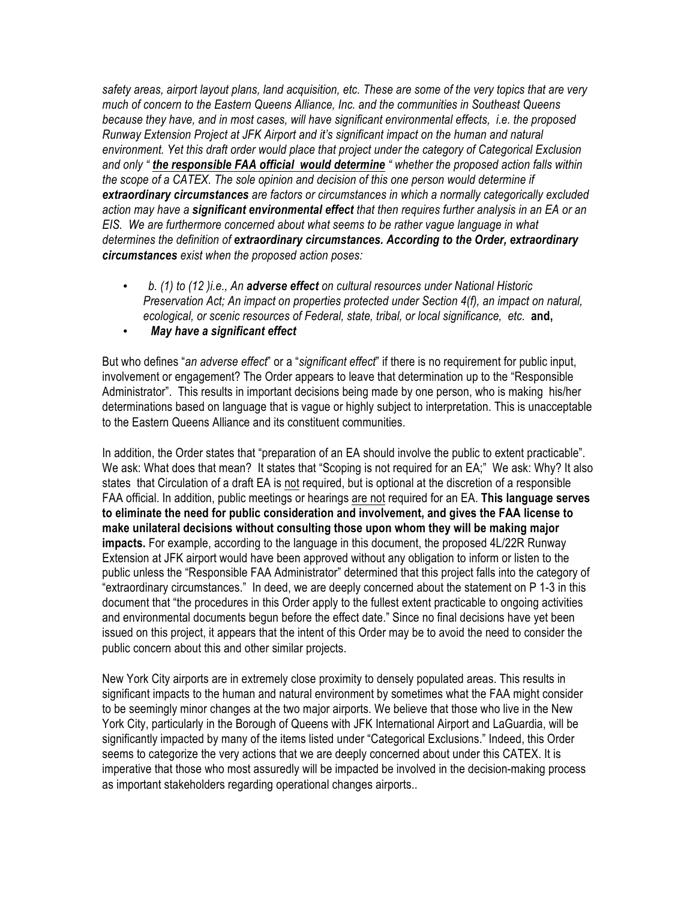*safety areas, airport layout plans, land acquisition, etc. These are some of the very topics that are very much of concern to the Eastern Queens Alliance, Inc. and the communities in Southeast Queens because they have, and in most cases, will have significant environmental effects, i.e. the proposed Runway Extension Project at JFK Airport and it's significant impact on the human and natural environment. Yet this draft order would place that project under the category of Categorical Exclusion and only " the responsible FAA official would determine " whether the proposed action falls within the scope of a CATEX. The sole opinion and decision of this one person would determine if extraordinary circumstances are factors or circumstances in which a normally categorically excluded action may have a significant environmental effect that then requires further analysis in an EA or an EIS. We are furthermore concerned about what seems to be rather vague language in what determines the definition of extraordinary circumstances. According to the Order, extraordinary circumstances exist when the proposed action poses:*

- *b. (1) to (12 )i.e., An adverse effect on cultural resources under National Historic Preservation Act; An impact on properties protected under Section 4(f), an impact on natural, ecological, or scenic resources of Federal, state, tribal, or local significance, etc.* **and,**
- *May have a significant effect*

But who defines "*an adverse effect*" or a "*significant effect*" if there is no requirement for public input, involvement or engagement? The Order appears to leave that determination up to the "Responsible Administrator". This results in important decisions being made by one person, who is making his/her determinations based on language that is vague or highly subject to interpretation. This is unacceptable to the Eastern Queens Alliance and its constituent communities.

In addition, the Order states that "preparation of an EA should involve the public to extent practicable". We ask: What does that mean? It states that "Scoping is not required for an EA;" We ask: Why? It also states that Circulation of a draft EA is not required, but is optional at the discretion of a responsible FAA official. In addition, public meetings or hearings are not required for an EA. **This language serves to eliminate the need for public consideration and involvement, and gives the FAA license to make unilateral decisions without consulting those upon whom they will be making major impacts.** For example, according to the language in this document, the proposed 4L/22R Runway Extension at JFK airport would have been approved without any obligation to inform or listen to the public unless the "Responsible FAA Administrator" determined that this project falls into the category of "extraordinary circumstances." In deed, we are deeply concerned about the statement on P 1-3 in this document that "the procedures in this Order apply to the fullest extent practicable to ongoing activities and environmental documents begun before the effect date." Since no final decisions have yet been issued on this project, it appears that the intent of this Order may be to avoid the need to consider the public concern about this and other similar projects.

New York City airports are in extremely close proximity to densely populated areas. This results in significant impacts to the human and natural environment by sometimes what the FAA might consider to be seemingly minor changes at the two major airports. We believe that those who live in the New York City, particularly in the Borough of Queens with JFK International Airport and LaGuardia, will be significantly impacted by many of the items listed under "Categorical Exclusions." Indeed, this Order seems to categorize the very actions that we are deeply concerned about under this CATEX. It is imperative that those who most assuredly will be impacted be involved in the decision-making process as important stakeholders regarding operational changes airports..